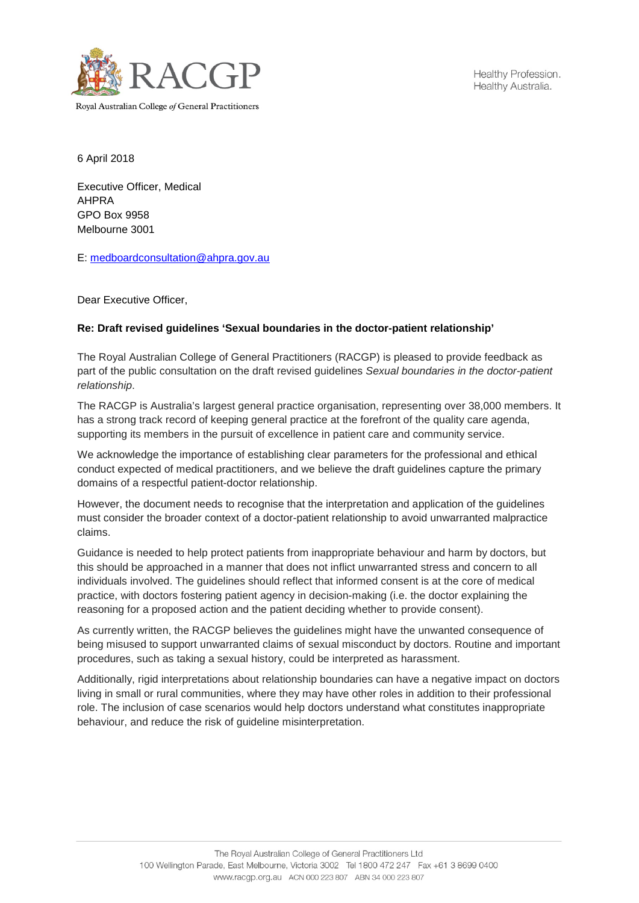

Healthy Profession. Healthy Australia.

Royal Australian College of General Practitioners

6 April 2018

Executive Officer, Medical AHPRA GPO Box 9958 Melbourne 3001

E: [medboardconsultation@ahpra.gov.au](mailto:medboardconsultation@ahpra.gov.au)

Dear Executive Officer,

## **Re: Draft revised guidelines 'Sexual boundaries in the doctor-patient relationship'**

The Royal Australian College of General Practitioners (RACGP) is pleased to provide feedback as part of the public consultation on the draft revised guidelines *Sexual boundaries in the doctor-patient relationship*.

The RACGP is Australia's largest general practice organisation, representing over 38,000 members. It has a strong track record of keeping general practice at the forefront of the quality care agenda, supporting its members in the pursuit of excellence in patient care and community service.

We acknowledge the importance of establishing clear parameters for the professional and ethical conduct expected of medical practitioners, and we believe the draft guidelines capture the primary domains of a respectful patient-doctor relationship.

However, the document needs to recognise that the interpretation and application of the guidelines must consider the broader context of a doctor-patient relationship to avoid unwarranted malpractice claims.

Guidance is needed to help protect patients from inappropriate behaviour and harm by doctors, but this should be approached in a manner that does not inflict unwarranted stress and concern to all individuals involved. The guidelines should reflect that informed consent is at the core of medical practice, with doctors fostering patient agency in decision-making (i.e. the doctor explaining the reasoning for a proposed action and the patient deciding whether to provide consent).

As currently written, the RACGP believes the guidelines might have the unwanted consequence of being misused to support unwarranted claims of sexual misconduct by doctors. Routine and important procedures, such as taking a sexual history, could be interpreted as harassment.

Additionally, rigid interpretations about relationship boundaries can have a negative impact on doctors living in small or rural communities, where they may have other roles in addition to their professional role. The inclusion of case scenarios would help doctors understand what constitutes inappropriate behaviour, and reduce the risk of guideline misinterpretation.